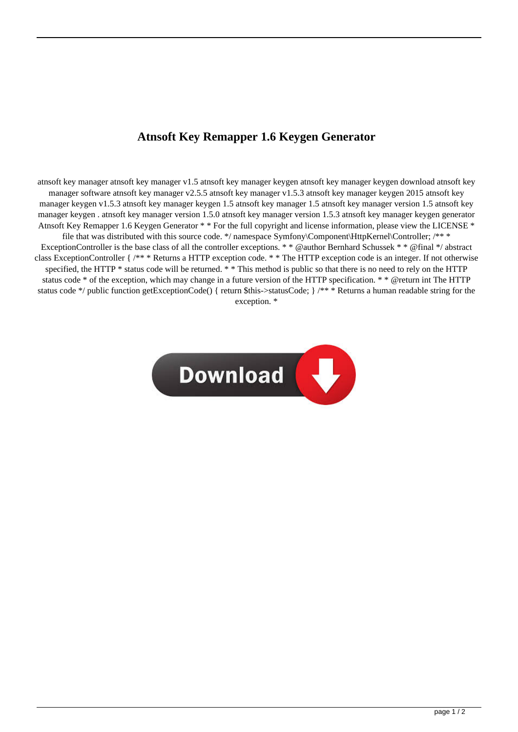## **Atnsoft Key Remapper 1.6 Keygen Generator**

atnsoft key manager atnsoft key manager v1.5 atnsoft key manager keygen atnsoft key manager keygen download atnsoft key manager software atnsoft key manager v2.5.5 atnsoft key manager v1.5.3 atnsoft key manager keygen 2015 atnsoft key manager keygen v1.5.3 atnsoft key manager keygen 1.5 atnsoft key manager 1.5 atnsoft key manager version 1.5 atnsoft key manager keygen . atnsoft key manager version 1.5.0 atnsoft key manager version 1.5.3 atnsoft key manager keygen generator Atnsoft Key Remapper 1.6 Keygen Generator \* \* For the full copyright and license information, please view the LICENSE \* file that was distributed with this source code. \*/ namespace Symfony\Component\HttpKernel\Controller; /\*\* \* ExceptionController is the base class of all the controller exceptions. \* \* @author Bernhard Schussek \* \* @final \*/ abstract class ExceptionController { /\*\* \* Returns a HTTP exception code. \* \* The HTTP exception code is an integer. If not otherwise specified, the HTTP \* status code will be returned. \* \* This method is public so that there is no need to rely on the HTTP status code \* of the exception, which may change in a future version of the HTTP specification. \* \* @return int The HTTP status code \*/ public function getExceptionCode() { return \$this->statusCode; } /\*\* \* Returns a human readable string for the exception. \*